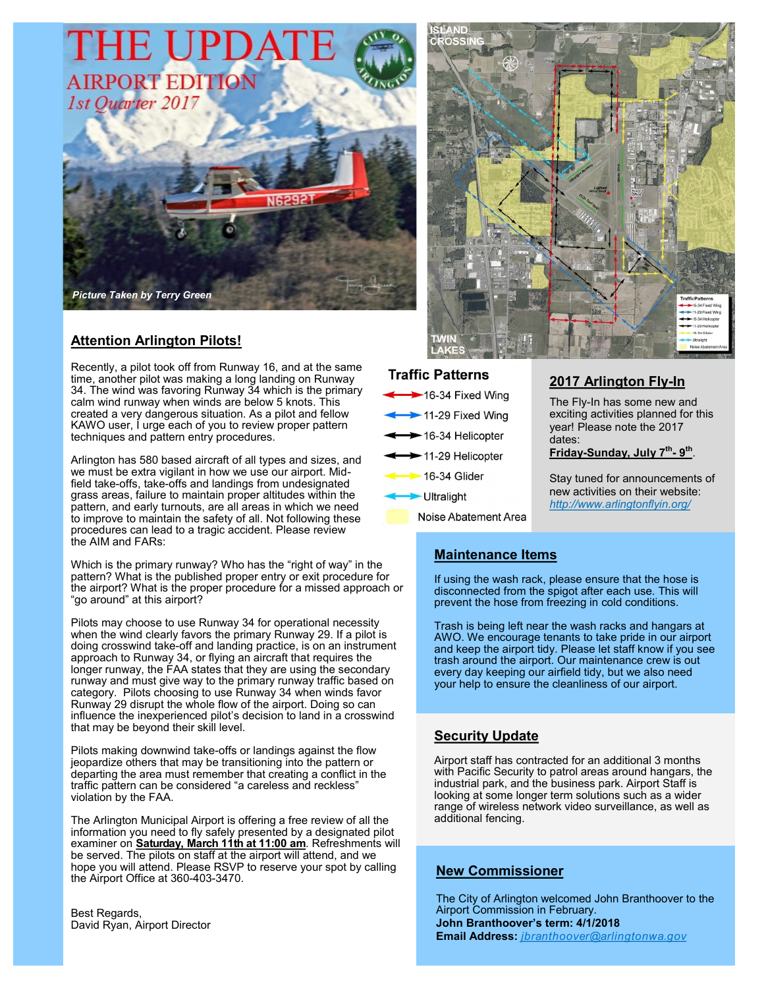

# **Attention Arlington Pilots!**

Recently, a pilot took off from Runway 16, and at the same time, another pilot was making a long landing on Runway 34. The wind was favoring Runway 34 which is the primary calm wind runway when winds are below 5 knots. This created a very dangerous situation. As a pilot and fellow KAWO user, I urge each of you to review proper pattern techniques and pattern entry procedures.

Arlington has 580 based aircraft of all types and sizes, and we must be extra vigilant in how we use our airport. Midfield take-offs, take-offs and landings from undesignated grass areas, failure to maintain proper altitudes within the pattern, and early turnouts, are all areas in which we need to improve to maintain the safety of all. Not following these procedures can lead to a tragic accident. Please review the AIM and FARs:

Which is the primary runway? Who has the "right of way" in the pattern? What is the published proper entry or exit procedure for the airport? What is the proper procedure for a missed approach or "go around" at this airport?

Pilots may choose to use Runway 34 for operational necessity when the wind clearly favors the primary Runway 29. If a pilot is doing crosswind take-off and landing practice, is on an instrument approach to Runway 34, or flying an aircraft that requires the longer runway, the FAA states that they are using the secondary runway and must give way to the primary runway traffic based on category. Pilots choosing to use Runway 34 when winds favor Runway 29 disrupt the whole flow of the airport. Doing so can influence the inexperienced pilot's decision to land in a crosswind that may be beyond their skill level.

Pilots making downwind take-offs or landings against the flow jeopardize others that may be transitioning into the pattern or departing the area must remember that creating a conflict in the traffic pattern can be considered "a careless and reckless" violation by the FAA.

The Arlington Municipal Airport is offering a free review of all the information you need to fly safely presented by a designated pilot examiner on **Saturday, March 11th at 11:00 am**. Refreshments will be served. The pilots on staff at the airport will attend, and we hope you will attend. Please RSVP to reserve your spot by calling the Airport Office at 360-403-3470.

Best Regards, David Ryan, Airport Director



#### **Traffic Patterns**

| 16-34 Fixed Wing                       |
|----------------------------------------|
| 11-29 Fixed Wing                       |
| $\longleftrightarrow$ 16-34 Helicopter |
| $\longleftrightarrow$ 11-29 Helicopter |
| $\rightarrow$ 16-34 Glider             |
| Ultralight                             |

Noise Abatement Area

# **2017 Arlington Fly-In**

The Fly-In has some new and exciting activities planned for this year! Please note the 2017 dates:

**Friday-Sunday, July 7th - 9 th** .

Stay tuned for announcements of new activities on their website: *http://www.arlingtonflyin.org/*

# **Maintenance Items**

If using the wash rack, please ensure that the hose is disconnected from the spigot after each use. This will prevent the hose from freezing in cold conditions.

Trash is being left near the wash racks and hangars at AWO. We encourage tenants to take pride in our airport and keep the airport tidy. Please let staff know if you see trash around the airport. Our maintenance crew is out every day keeping our airfield tidy, but we also need your help to ensure the cleanliness of our airport.

## **Security Update**

Airport staff has contracted for an additional 3 months with Pacific Security to patrol areas around hangars, the industrial park, and the business park. Airport Staff is looking at some longer term solutions such as a wider range of wireless network video surveillance, as well as additional fencing.

## **New Commissioner**

The City of Arlington welcomed John Branthoover to the Airport Commission in February. **John Branthoover's term: 4/1/2018 Email Address:** *jbranthoover@arlingtonwa.gov*